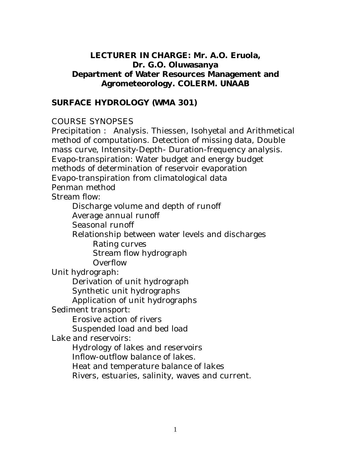## **LECTURER IN CHARGE: Mr. A.O. Eruola, Dr. G.O. Oluwasanya Department of Water Resources Management and Agrometeorology. COLERM. UNAAB**

#### **SURFACE HYDROLOGY (WMA 301)**

#### COURSE SYNOPSES

Precipitation : Analysis. Thiessen, Isohyetal and Arithmetical method of computations. Detection of missing data, Double mass curve, Intensity-Depth- Duration-frequency analysis. Evapo-transpiration: Water budget and energy budget methods of determination of reservoir evaporation Evapo-transpiration from climatological data Penman method Stream flow: Discharge volume and depth of runoff Average annual runoff Seasonal runoff

Relationship between water levels and discharges

Rating curves

Stream flow hydrograph

Overflow

Unit hydrograph:

Derivation of unit hydrograph

Synthetic unit hydrographs

Application of unit hydrographs

Sediment transport:

Erosive action of rivers Suspended load and bed load

Lake and reservoirs:

Hydrology of lakes and reservoirs

Inflow-outflow balance of lakes.

Heat and temperature balance of lakes

Rivers, estuaries, salinity, waves and current.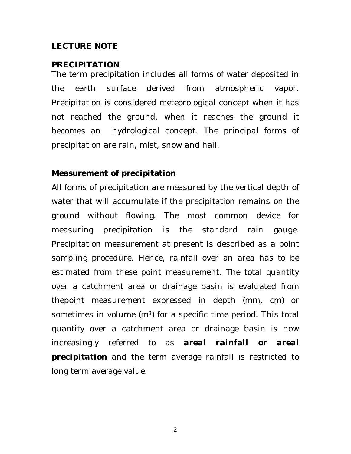#### **LECTURE NOTE**

#### **PRECIPITATION**

The term precipitation includes all forms of water deposited in the earth surface derived from atmospheric vapor. Precipitation is considered meteorological concept when it has not reached the ground. when it reaches the ground it becomes an hydrological concept. The principal forms of precipitation are rain, mist, snow and hail.

#### **Measurement of precipitation**

All forms of precipitation are measured by the vertical depth of water that will accumulate if the precipitation remains on the ground without flowing. The most common device for measuring precipitation is the standard rain gauge. Precipitation measurement at present is described as a point sampling procedure. Hence, rainfall over an area has to be estimated from these point measurement. The total quantity over a catchment area or drainage basin is evaluated from thepoint measurement expressed in depth (mm, cm) or sometimes in volume  $(m<sup>3</sup>)$  for a specific time period. This total quantity over a catchment area or drainage basin is now increasingly referred to as *areal rainfall* **or** *areal precipitation* and the term average rainfall is restricted to long term average value.

2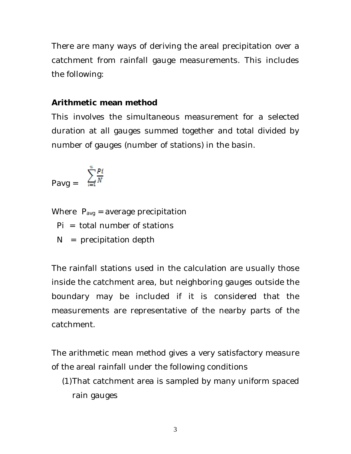There are many ways of deriving the areal precipitation over a catchment from rainfall gauge measurements. This includes the following:

#### **Arithmetic mean method**

This involves the simultaneous measurement for a selected duration at all gauges summed together and total divided by number of gauges (number of stations) in the basin.

$$
\mathsf{Payg} = \sum_{i=1}^{n} \frac{Pi}{N}
$$

Where  $P_{avg}$  = average precipitation

 $Pi = total number of stations$ 

 $N =$  precipitation depth

The rainfall stations used in the calculation are usually those inside the catchment area, but neighboring gauges outside the boundary may be included if it is considered that the measurements are representative of the nearby parts of the catchment.

The arithmetic mean method gives a very satisfactory measure of the areal rainfall under the following conditions

(1)That catchment area is sampled by many uniform spaced rain gauges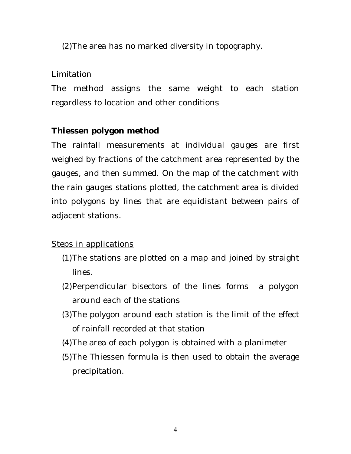(2)The area has no marked diversity in topography.

# Limitation

The method assigns the same weight to each station regardless to location and other conditions

# **Thiessen polygon method**

The rainfall measurements at individual gauges are first weighed by fractions of the catchment area represented by the gauges, and then summed. On the map of the catchment with the rain gauges stations plotted, the catchment area is divided into polygons by lines that are equidistant between pairs of adjacent stations.

Steps in applications

- (1)The stations are plotted on a map and joined by straight lines.
- (2)Perpendicular bisectors of the lines forms a polygon around each of the stations
- (3)The polygon around each station is the limit of the effect of rainfall recorded at that station
- (4)The area of each polygon is obtained with a planimeter
- (5)The Thiessen formula is then used to obtain the average precipitation.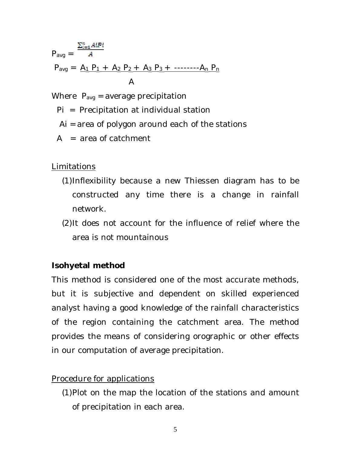$$
P_{avg} = \frac{\sum_{i=1}^{n} A_i P_i}{A}
$$
  
\n
$$
P_{avg} = \frac{A_1 P_1 + A_2 P_2 + A_3 P_3 + \dots + A_n P_n}{A}
$$

Where  $P_{avg}$  = average precipitation

- Pi = Precipitation at individual station
- Ai = area of polygon around each of the stations
- $A = area of catchment$

Limitations

- (1)Inflexibility because a new Thiessen diagram has to be constructed any time there is a change in rainfall network.
- (2)It does not account for the influence of relief where the area is not mountainous

#### **Isohyetal method**

This method is considered one of the most accurate methods, but it is subjective and dependent on skilled experienced analyst having a good knowledge of the rainfall characteristics of the region containing the catchment area. The method provides the means of considering orographic or other effects in our computation of average precipitation.

#### Procedure for applications

(1)Plot on the map the location of the stations and amount of precipitation in each area.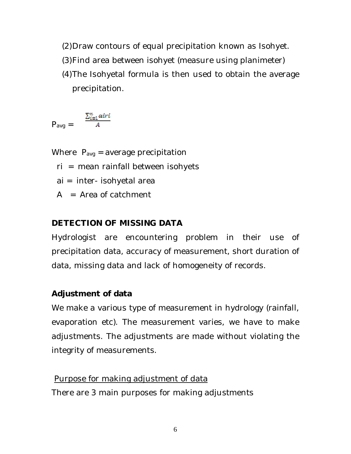(2)Draw contours of equal precipitation known as Isohyet.

- (3)Find area between isohyet (measure using planimeter)
- (4)The Isohyetal formula is then used to obtain the average precipitation.

$$
\mathsf{P}_{\mathsf{avg}} = \frac{\sum_{i=1}^{n} airi}{A}
$$

Where  $P_{avg}$  = average precipitation

ri = mean rainfall between isohyets

ai = inter- isohyetal area

 $A = Area of catchment$ 

# **DETECTION OF MISSING DATA**

Hydrologist are encountering problem in their use of precipitation data, accuracy of measurement, short duration of data, missing data and lack of homogeneity of records.

# **Adjustment of data**

We make a various type of measurement in hydrology (rainfall, evaporation etc). The measurement varies, we have to make adjustments. The adjustments are made without violating the integrity of measurements.

## Purpose for making adjustment of data

There are 3 main purposes for making adjustments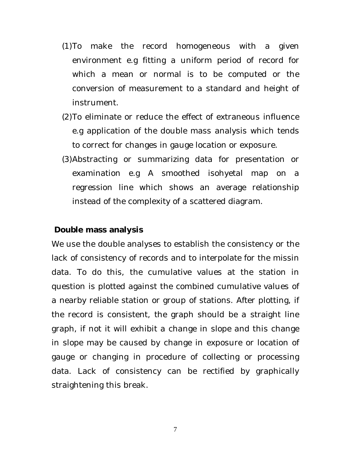- (1)To make the record homogeneous with a given environment e.g fitting a uniform period of record for which a mean or normal is to be computed or the conversion of measurement to a standard and height of instrument.
- (2)To eliminate or reduce the effect of extraneous influence e.g application of the double mass analysis which tends to correct for changes in gauge location or exposure.
- (3)Abstracting or summarizing data for presentation or examination e.g A smoothed isohyetal map on a regression line which shows an average relationship instead of the complexity of a scattered diagram.

#### **Double mass analysis**

We use the double analyses to establish the consistency or the lack of consistency of records and to interpolate for the missin data. To do this, the cumulative values at the station in question is plotted against the combined cumulative values of a nearby reliable station or group of stations. After plotting, if the record is consistent, the graph should be a straight line graph, if not it will exhibit a change in slope and this change in slope may be caused by change in exposure or location of gauge or changing in procedure of collecting or processing data. Lack of consistency can be rectified by graphically straightening this break.

7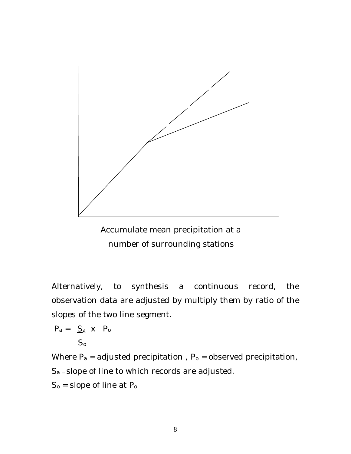

 Accumulate mean precipitation at a number of surrounding stations

Alternatively, to synthesis a continuous record, the observation data are adjusted by multiply them by ratio of the slopes of the two line segment.

$$
P_a = \underline{S_a} \times P_o
$$

$$
-S_0\\
$$

Where  $P_a$  = adjusted precipitation,  $P_0$  = observed precipitation,  $S_a$  = slope of line to which records are adjusted.  $S_0$  = slope of line at  $P_0$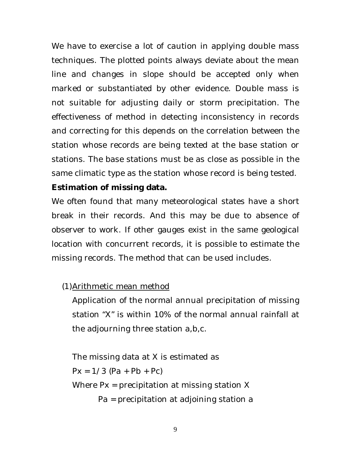We have to exercise a lot of caution in applying double mass techniques. The plotted points always deviate about the mean line and changes in slope should be accepted only when marked or substantiated by other evidence. Double mass is not suitable for adjusting daily or storm precipitation. The effectiveness of method in detecting inconsistency in records and correcting for this depends on the correlation between the station whose records are being texted at the base station or stations. The base stations must be as close as possible in the same climatic type as the station whose record is being tested.

# **Estimation of missing data.**

We often found that many meteorological states have a short break in their records. And this may be due to absence of observer to work. If other gauges exist in the same geological location with concurrent records, it is possible to estimate the missing records. The method that can be used includes.

# (1)Arithmetic mean method

Application of the normal annual precipitation of missing station "X" is within 10% of the normal annual rainfall at the adjourning three station a,b,c.

The missing data at X is estimated as  $Px = 1/3 (Pa + Pb + Pc)$ Where Px = precipitation at missing station X Pa = precipitation at adjoining station a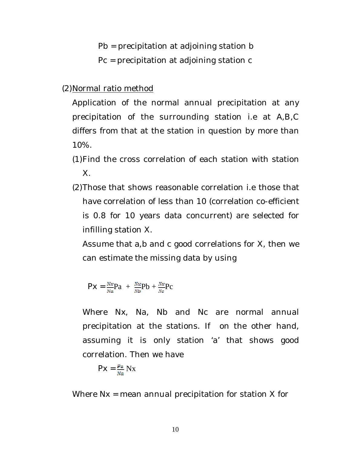Pb = precipitation at adjoining station b

Pc = precipitation at adjoining station c

(2)Normal ratio method

Application of the normal annual precipitation at any precipitation of the surrounding station i.e at A,B,C differs from that at the station in question by more than 10%.

- (1)Find the cross correlation of each station with station X.
- (2)Those that shows reasonable correlation i.e those that have correlation of less than 10 (correlation co-efficient is 0.8 for 10 years data concurrent) are selected for infilling station X.

Assume that a,b and c good correlations for X, then we can estimate the missing data by using

$$
Px = \frac{Nx}{Na}Pa + \frac{Nx}{Nb}Pb + \frac{Nx}{Nc}Pc
$$

Where Nx, Na, Nb and Nc are normal annual precipitation at the stations. If on the other hand, assuming it is only station 'a' that shows good correlation. Then we have

$$
PX = \frac{P\alpha}{Na} Nx
$$

Where Nx = mean annual precipitation for station X for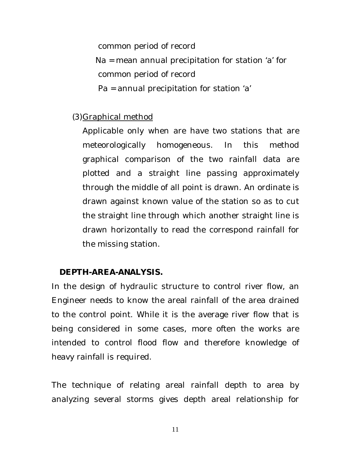common period of record

 Na = mean annual precipitation for station 'a' for common period of record

Pa = annual precipitation for station 'a'

# (3)Graphical method

Applicable only when are have two stations that are meteorologically homogeneous. In this method graphical comparison of the two rainfall data are plotted and a straight line passing approximately through the middle of all point is drawn. An ordinate is drawn against known value of the station so as to cut the straight line through which another straight line is drawn horizontally to read the correspond rainfall for the missing station.

# **DEPTH-AREA-ANALYSIS.**

In the design of hydraulic structure to control river flow, an Engineer needs to know the areal rainfall of the area drained to the control point. While it is the average river flow that is being considered in some cases, more often the works are intended to control flood flow and therefore knowledge of heavy rainfall is required.

The technique of relating areal rainfall depth to area by analyzing several storms gives depth areal relationship for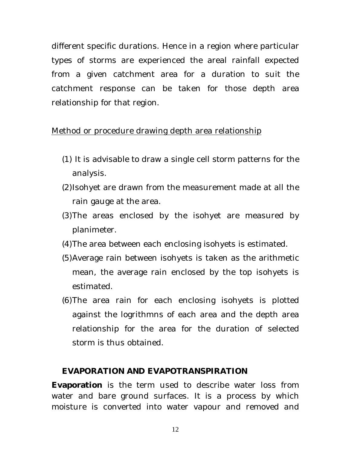different specific durations. Hence in a region where particular types of storms are experienced the areal rainfall expected from a given catchment area for a duration to suit the catchment response can be taken for those depth area relationship for that region.

## Method or procedure drawing depth area relationship

- (1) It is advisable to draw a single cell storm patterns for the analysis.
- (2)Isohyet are drawn from the measurement made at all the rain gauge at the area.
- (3)The areas enclosed by the isohyet are measured by planimeter.
- (4)The area between each enclosing isohyets is estimated.
- (5)Average rain between isohyets is taken as the arithmetic mean, the average rain enclosed by the top isohyets is estimated.
- (6)The area rain for each enclosing isohyets is plotted against the logrithmns of each area and the depth area relationship for the area for the duration of selected storm is thus obtained.

## **EVAPORATION AND EVAPOTRANSPIRATION**

**Evaporation** is the term used to describe water loss from water and bare ground surfaces. It is a process by which moisture is converted into water vapour and removed and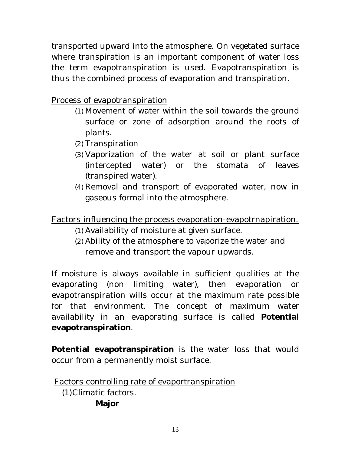transported upward into the atmosphere. On vegetated surface where transpiration is an important component of water loss the term evapotranspiration is used. Evapotranspiration is thus the combined process of evaporation and transpiration.

Process of evapotranspiration

- (1) Movement of water within the soil towards the ground surface or zone of adsorption around the roots of plants.
- (2) Transpiration
- (3) Vaporization of the water at soil or plant surface (intercepted water) or the stomata of leaves (transpired water).
- (4) Removal and transport of evaporated water, now in gaseous formal into the atmosphere.

Factors influencing the process evaporation-evapotrnapiration.

- (1) Availability of moisture at given surface.
- (2) Ability of the atmosphere to vaporize the water and remove and transport the vapour upwards.

If moisture is always available in sufficient qualities at the evaporating (non limiting water), then evaporation or evapotranspiration wills occur at the maximum rate possible for that environment. The concept of maximum water availability in an evaporating surface is called **Potential evapotranspiration**.

**Potential evapotranspiration** is the water loss that would occur from a permanently moist surface.

Factors controlling rate of evaportranspiration (1)Climatic factors. **Major**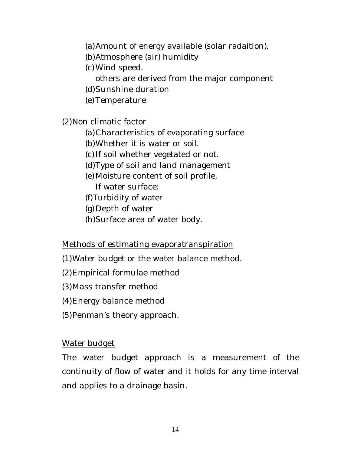(a)Amount of energy available (solar radaition).

- (b)Atmosphere (air) humidity
- (c) Wind speed.
	- others are derived from the major component
- (d)Sunshine duration
- (e) Temperature

(2)Non climatic factor

- (a)Characteristics of evaporating surface
- (b)Whether it is water or soil.
- (c) If soil whether vegetated or not.
- (d)Type of soil and land management
- (e) Moisture content of soil profile,
	- If water surface:
- (f)Turbidity of water
- (g) Depth of water
- (h)Surface area of water body.

# Methods of estimating evaporatranspiration

- (1)Water budget or the water balance method.
- (2)Empirical formulae method
- (3)Mass transfer method
- (4)Energy balance method
- (5)Penman's theory approach.

# Water budget

The water budget approach is a measurement of the continuity of flow of water and it holds for any time interval and applies to a drainage basin.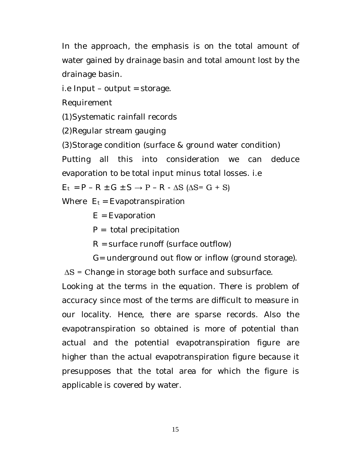In the approach, the emphasis is on the total amount of water gained by drainage basin and total amount lost by the drainage basin.

i.e Input – output = storage.

Requirement

(1)Systematic rainfall records

(2)Regular stream gauging

(3)Storage condition (surface & ground water condition)

Putting all this into consideration we can deduce evaporation to be total input minus total losses. i.e

$$
E_t = P - R \pm G \pm S \rightarrow P - R - \Delta S \text{ (}\Delta S = G + S\text{)}
$$

Where  $E_t = E$ vapotranspiration

 $E = E$ vaporation

 $P =$  total precipitation

 $R =$  surface runoff (surface outflow)

G= underground out flow or inflow (ground storage).

∆S = Change in storage both surface and subsurface.

Looking at the terms in the equation. There is problem of accuracy since most of the terms are difficult to measure in our locality. Hence, there are sparse records. Also the evapotranspiration so obtained is more of potential than actual and the potential evapotranspiration figure are higher than the actual evapotranspiration figure because it presupposes that the total area for which the figure is applicable is covered by water.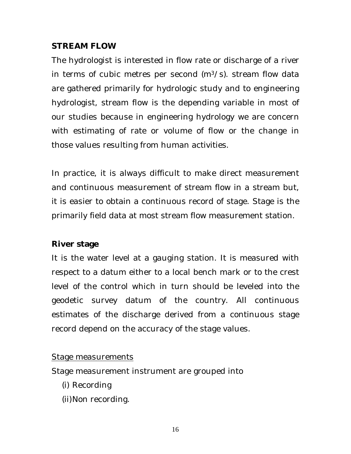## **STREAM FLOW**

The hydrologist is interested in flow rate or discharge of a river in terms of cubic metres per second  $(m<sup>3</sup>/s)$ . stream flow data are gathered primarily for hydrologic study and to engineering hydrologist, stream flow is the depending variable in most of our studies because in engineering hydrology we are concern with estimating of rate or volume of flow or the change in those values resulting from human activities.

In practice, it is always difficult to make direct measurement and continuous measurement of stream flow in a stream but, it is easier to obtain a continuous record of stage. Stage is the primarily field data at most stream flow measurement station.

# **River stage**

It is the water level at a gauging station. It is measured with respect to a datum either to a local bench mark or to the crest level of the control which in turn should be leveled into the geodetic survey datum of the country. All continuous estimates of the discharge derived from a continuous stage record depend on the accuracy of the stage values.

# Stage measurements

Stage measurement instrument are grouped into

- (i) Recording
- (ii)Non recording.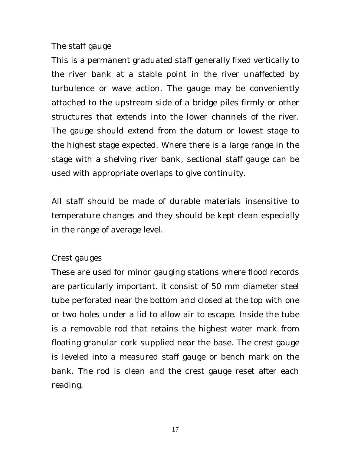#### The staff gauge

This is a permanent graduated staff generally fixed vertically to the river bank at a stable point in the river unaffected by turbulence or wave action. The gauge may be conveniently attached to the upstream side of a bridge piles firmly or other structures that extends into the lower channels of the river. The gauge should extend from the datum or lowest stage to the highest stage expected. Where there is a large range in the stage with a shelving river bank, sectional staff gauge can be used with appropriate overlaps to give continuity.

All staff should be made of durable materials insensitive to temperature changes and they should be kept clean especially in the range of average level.

#### Crest gauges

These are used for minor gauging stations where flood records are particularly important. it consist of 50 mm diameter steel tube perforated near the bottom and closed at the top with one or two holes under a lid to allow air to escape. Inside the tube is a removable rod that retains the highest water mark from floating granular cork supplied near the base. The crest gauge is leveled into a measured staff gauge or bench mark on the bank. The rod is clean and the crest gauge reset after each reading.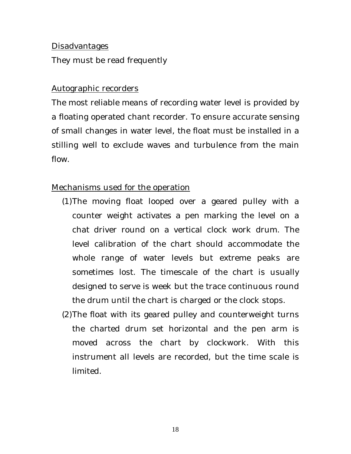#### Disadvantages

They must be read frequently

#### Autographic recorders

The most reliable means of recording water level is provided by a floating operated chant recorder. To ensure accurate sensing of small changes in water level, the float must be installed in a stilling well to exclude waves and turbulence from the main flow.

## Mechanisms used for the operation

- (1)The moving float looped over a geared pulley with a counter weight activates a pen marking the level on a chat driver round on a vertical clock work drum. The level calibration of the chart should accommodate the whole range of water levels but extreme peaks are sometimes lost. The timescale of the chart is usually designed to serve is week but the trace continuous round the drum until the chart is charged or the clock stops.
- (2)The float with its geared pulley and counterweight turns the charted drum set horizontal and the pen arm is moved across the chart by clockwork. With this instrument all levels are recorded, but the time scale is limited.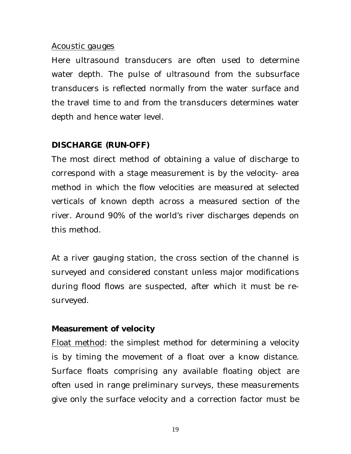#### Acoustic gauges

Here ultrasound transducers are often used to determine water depth. The pulse of ultrasound from the subsurface transducers is reflected normally from the water surface and the travel time to and from the transducers determines water depth and hence water level.

# **DISCHARGE (RUN-OFF)**

The most direct method of obtaining a value of discharge to correspond with a stage measurement is by the velocity- area method in which the flow velocities are measured at selected verticals of known depth across a measured section of the river. Around 90% of the world's river discharges depends on this method.

At a river gauging station, the cross section of the channel is surveyed and considered constant unless major modifications during flood flows are suspected, after which it must be resurveyed.

## **Measurement of velocity**

Float method: the simplest method for determining a velocity is by timing the movement of a float over a know distance. Surface floats comprising any available floating object are often used in range preliminary surveys, these measurements give only the surface velocity and a correction factor must be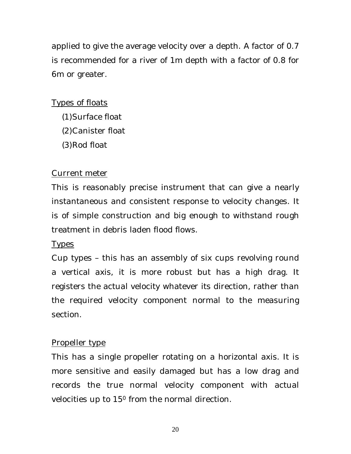applied to give the average velocity over a depth. A factor of 0.7 is recommended for a river of 1m depth with a factor of 0.8 for 6m or greater.

# Types of floats

- (1)Surface float
- (2)Canister float
- (3)Rod float

# Current meter

This is reasonably precise instrument that can give a nearly instantaneous and consistent response to velocity changes. It is of simple construction and big enough to withstand rough treatment in debris laden flood flows.

## Types

Cup types – this has an assembly of six cups revolving round a vertical axis, it is more robust but has a high drag. It registers the actual velocity whatever its direction, rather than the required velocity component normal to the measuring section.

# Propeller type

This has a single propeller rotating on a horizontal axis. It is more sensitive and easily damaged but has a low drag and records the true normal velocity component with actual velocities up to 15<sup>0</sup> from the normal direction.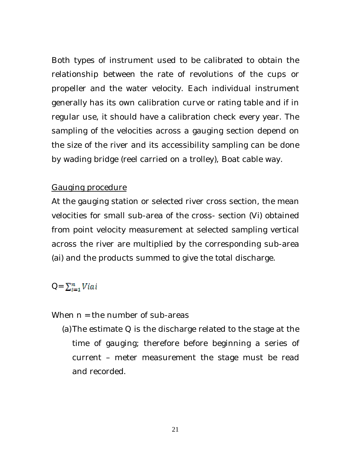Both types of instrument used to be calibrated to obtain the relationship between the rate of revolutions of the cups or propeller and the water velocity. Each individual instrument generally has its own calibration curve or rating table and if in regular use, it should have a calibration check every year. The sampling of the velocities across a gauging section depend on the size of the river and its accessibility sampling can be done by wading bridge (reel carried on a trolley), Boat cable way.

## Gauging procedure

At the gauging station or selected river cross section, the mean velocities for small sub-area of the cross- section (Vi) obtained from point velocity measurement at selected sampling vertical across the river are multiplied by the corresponding sub-area (ai) and the products summed to give the total discharge.

## $Q = \sum_{i=1}^n Viai$

When  $n =$  the number of sub-areas

(a)The estimate Q is the discharge related to the stage at the time of gauging; therefore before beginning a series of current – meter measurement the stage must be read and recorded.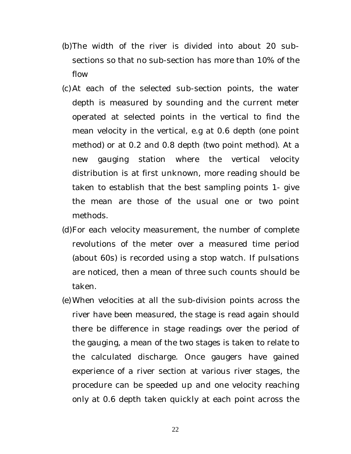- (b)The width of the river is divided into about 20 subsections so that no sub-section has more than 10% of the flow
- (c) At each of the selected sub-section points, the water depth is measured by sounding and the current meter operated at selected points in the vertical to find the mean velocity in the vertical, e.g at 0.6 depth (one point method) or at 0.2 and 0.8 depth (two point method). At a new gauging station where the vertical velocity distribution is at first unknown, more reading should be taken to establish that the best sampling points 1- give the mean are those of the usual one or two point methods.
- (d)For each velocity measurement, the number of complete revolutions of the meter over a measured time period (about 60s) is recorded using a stop watch. If pulsations are noticed, then a mean of three such counts should be taken.
- (e) When velocities at all the sub-division points across the river have been measured, the stage is read again should there be difference in stage readings over the period of the gauging, a mean of the two stages is taken to relate to the calculated discharge. Once gaugers have gained experience of a river section at various river stages, the procedure can be speeded up and one velocity reaching only at 0.6 depth taken quickly at each point across the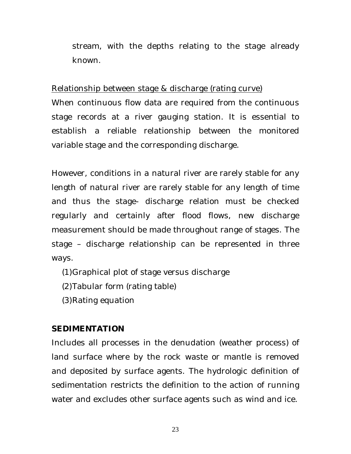stream, with the depths relating to the stage already known.

## Relationship between stage & discharge (rating curve)

When continuous flow data are required from the continuous stage records at a river gauging station. It is essential to establish a reliable relationship between the monitored variable stage and the corresponding discharge.

However, conditions in a natural river are rarely stable for any length of natural river are rarely stable for any length of time and thus the stage- discharge relation must be checked regularly and certainly after flood flows, new discharge measurement should be made throughout range of stages. The stage – discharge relationship can be represented in three ways.

- (1)Graphical plot of stage versus discharge
- (2)Tabular form (rating table)
- (3)Rating equation

# **SEDIMENTATION**

Includes all processes in the denudation (weather process) of land surface where by the rock waste or mantle is removed and deposited by surface agents. The hydrologic definition of sedimentation restricts the definition to the action of running water and excludes other surface agents such as wind and ice.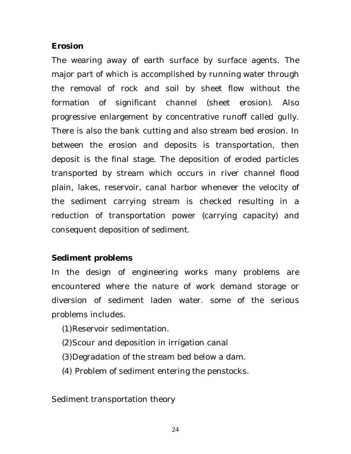## **Erosion**

The wearing away of earth surface by surface agents. The major part of which is accomplished by running water through the removal of rock and soil by sheet flow without the formation of significant channel (sheet erosion). Also progressive enlargement by concentrative runoff called gully. There is also the bank cutting and also stream bed erosion. In between the erosion and deposits is transportation, then deposit is the final stage. The deposition of eroded particles transported by stream which occurs in river channel flood plain, lakes, reservoir, canal harbor whenever the velocity of the sediment carrying stream is checked resulting in a reduction of transportation power (carrying capacity) and consequent deposition of sediment.

# **Sediment problems**

In the design of engineering works many problems are encountered where the nature of work demand storage or diversion of sediment laden water. some of the serious problems includes.

- (1)Reservoir sedimentation.
- (2)Scour and deposition in irrigation canal
- (3)Degradation of the stream bed below a dam.
- (4) Problem of sediment entering the penstocks.

Sediment transportation theory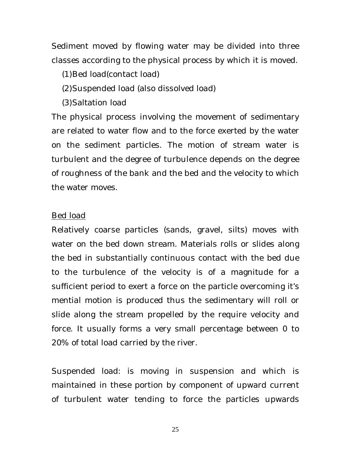Sediment moved by flowing water may be divided into three classes according to the physical process by which it is moved.

(1)Bed load(contact load)

- (2)Suspended load (also dissolved load)
- (3)Saltation load

The physical process involving the movement of sedimentary are related to water flow and to the force exerted by the water on the sediment particles. The motion of stream water is turbulent and the degree of turbulence depends on the degree of roughness of the bank and the bed and the velocity to which the water moves.

## Bed load

Relatively coarse particles (sands, gravel, silts) moves with water on the bed down stream. Materials rolls or slides along the bed in substantially continuous contact with the bed due to the turbulence of the velocity is of a magnitude for a sufficient period to exert a force on the particle overcoming it's mential motion is produced thus the sedimentary will roll or slide along the stream propelled by the require velocity and force. It usually forms a very small percentage between 0 to 20% of total load carried by the river.

Suspended load: is moving in suspension and which is maintained in these portion by component of upward current of turbulent water tending to force the particles upwards

25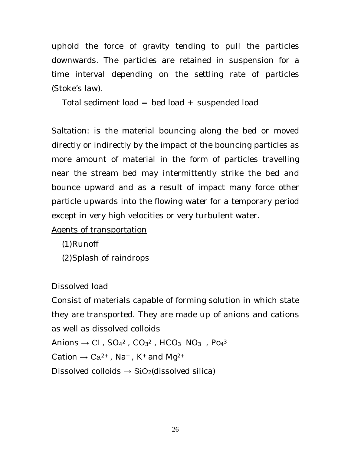uphold the force of gravity tending to pull the particles downwards. The particles are retained in suspension for a time interval depending on the settling rate of particles (Stoke's law).

Total sediment load = bed load + suspended load

Saltation: is the material bouncing along the bed or moved directly or indirectly by the impact of the bouncing particles as more amount of material in the form of particles travelling near the stream bed may intermittently strike the bed and bounce upward and as a result of impact many force other particle upwards into the flowing water for a temporary period except in very high velocities or very turbulent water.

Agents of transportation

(1)Runoff

(2)Splash of raindrops

Dissolved load

Consist of materials capable of forming solution in which state they are transported. They are made up of anions and cations as well as dissolved colloids

Anions  $\rightarrow$  C1 , SO $_4$ <sup>2 ,</sup>, CO $_3$ <sup>2</sup> , HCO $_3$  NO $_3$  , Po $_4$ <sup>3</sup>

Cation  $\rightarrow$  Ca<sup>2+</sup>, Na<sup>+</sup>, K<sup>+</sup> and Mg<sup>2+</sup>

Dissolved colloids  $\rightarrow$  SiO<sub>2</sub>(dissolved silica)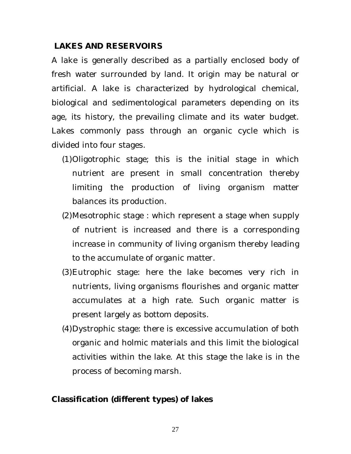# **LAKES AND RESERVOIRS**

A lake is generally described as a partially enclosed body of fresh water surrounded by land. It origin may be natural or artificial. A lake is characterized by hydrological chemical, biological and sedimentological parameters depending on its age, its history, the prevailing climate and its water budget. Lakes commonly pass through an organic cycle which is divided into four stages.

- (1)Oligotrophic stage; this is the initial stage in which nutrient are present in small concentration thereby limiting the production of living organism matter balances its production.
- (2)Mesotrophic stage : which represent a stage when supply of nutrient is increased and there is a corresponding increase in community of living organism thereby leading to the accumulate of organic matter.
- (3)Eutrophic stage: here the lake becomes very rich in nutrients, living organisms flourishes and organic matter accumulates at a high rate. Such organic matter is present largely as bottom deposits.
- (4)Dystrophic stage: there is excessive accumulation of both organic and holmic materials and this limit the biological activities within the lake. At this stage the lake is in the process of becoming marsh.

# **Classification (different types) of lakes**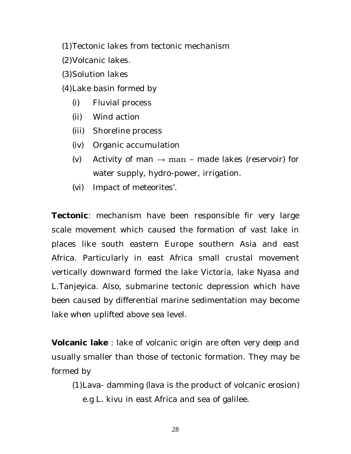(1)Tectonic lakes from tectonic mechanism

- (2)Volcanic lakes.
- (3)Solution lakes
- (4)Lake basin formed by
	- (i) Fluvial process
	- (ii) Wind action
	- (iii) Shoreline process
	- (iv) Organic accumulation
	- (v) Activity of man  $\rightarrow$  man made lakes (reservoir) for water supply, hydro-power, irrigation.
	- (vi) Impact of meteorites'.

**Tectonic**: mechanism have been responsible fir very large scale movement which caused the formation of vast lake in places like south eastern Europe southern Asia and east Africa. Particularly in east Africa small crustal movement vertically downward formed the lake Victoria, lake Nyasa and L.Tanjeyica. Also, submarine tectonic depression which have been caused by differential marine sedimentation may become lake when uplifted above sea level.

**Volcanic lake** : lake of volcanic origin are often very deep and usually smaller than those of tectonic formation. They may be formed by

(1)Lava- damming (lava is the product of volcanic erosion) e.g L. kivu in east Africa and sea of galilee.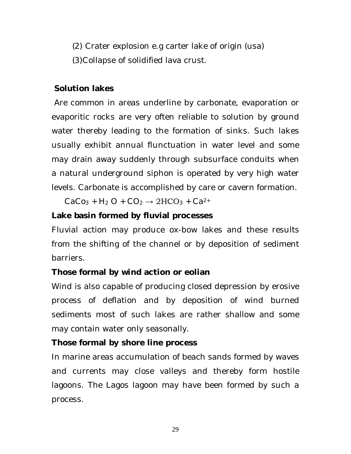(2) Crater explosion e.g carter lake of origin (usa) (3)Collapse of solidified lava crust.

# **Solution lakes**

Are common in areas underline by carbonate, evaporation or evaporitic rocks are very often reliable to solution by ground water thereby leading to the formation of sinks. Such lakes usually exhibit annual flunctuation in water level and some may drain away suddenly through subsurface conduits when a natural underground siphon is operated by very high water levels. Carbonate is accomplished by care or cavern formation.

 $CaCo<sub>3</sub> + H<sub>2</sub> O + CO<sub>2</sub> \rightarrow 2HCO<sub>3</sub> + Ca<sup>2+</sup>$ 

# **Lake basin formed by fluvial processes**

Fluvial action may produce ox-bow lakes and these results from the shifting of the channel or by deposition of sediment barriers.

# **Those formal by wind action or eolian**

Wind is also capable of producing closed depression by erosive process of deflation and by deposition of wind burned sediments most of such lakes are rather shallow and some may contain water only seasonally.

# **Those formal by shore line process**

In marine areas accumulation of beach sands formed by waves and currents may close valleys and thereby form hostile lagoons. The Lagos lagoon may have been formed by such a process.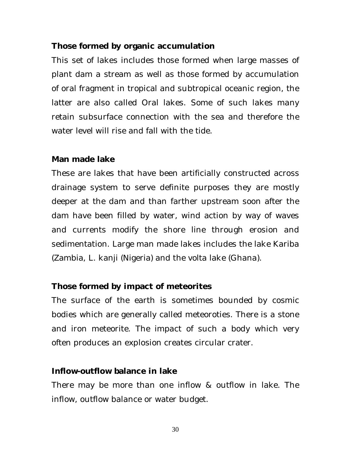## **Those formed by organic accumulation**

This set of lakes includes those formed when large masses of plant dam a stream as well as those formed by accumulation of oral fragment in tropical and subtropical oceanic region, the latter are also called Oral lakes. Some of such lakes many retain subsurface connection with the sea and therefore the water level will rise and fall with the tide.

#### **Man made lake**

These are lakes that have been artificially constructed across drainage system to serve definite purposes they are mostly deeper at the dam and than farther upstream soon after the dam have been filled by water, wind action by way of waves and currents modify the shore line through erosion and sedimentation. Large man made lakes includes the lake Kariba (Zambia, L. kanji (Nigeria) and the volta lake (Ghana).

## **Those formed by impact of meteorites**

The surface of the earth is sometimes bounded by cosmic bodies which are generally called meteoroties. There is a stone and iron meteorite. The impact of such a body which very often produces an explosion creates circular crater.

## **Inflow-outflow balance in lake**

There may be more than one inflow & outflow in lake. The inflow, outflow balance or water budget.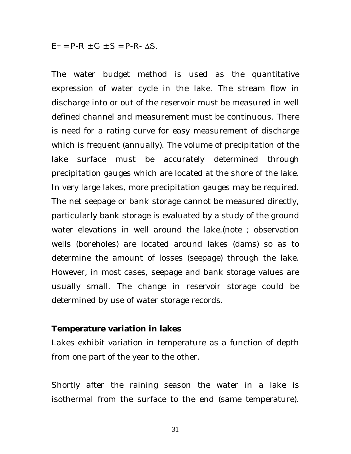$E_T$  = P-R  $\pm$  G  $\pm$  S = P-R-  $\Delta$ S.

The water budget method is used as the quantitative expression of water cycle in the lake. The stream flow in discharge into or out of the reservoir must be measured in well defined channel and measurement must be continuous. There is need for a rating curve for easy measurement of discharge which is frequent (annually). The volume of precipitation of the lake surface must be accurately determined through precipitation gauges which are located at the shore of the lake. In very large lakes, more precipitation gauges may be required. The net seepage or bank storage cannot be measured directly, particularly bank storage is evaluated by a study of the ground water elevations in well around the lake.(note ; observation wells (boreholes) are located around lakes (dams) so as to determine the amount of losses (seepage) through the lake. However, in most cases, seepage and bank storage values are usually small. The change in reservoir storage could be determined by use of water storage records.

#### **Temperature variation in lakes**

Lakes exhibit variation in temperature as a function of depth from one part of the year to the other.

Shortly after the raining season the water in a lake is isothermal from the surface to the end (same temperature).

31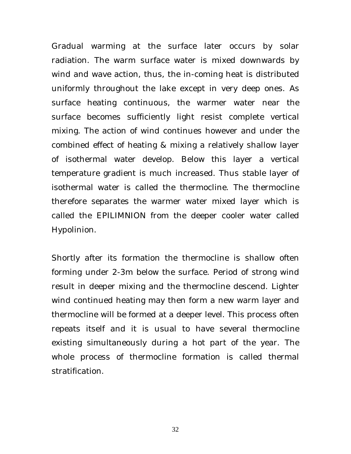Gradual warming at the surface later occurs by solar radiation. The warm surface water is mixed downwards by wind and wave action, thus, the in-coming heat is distributed uniformly throughout the lake except in very deep ones. As surface heating continuous, the warmer water near the surface becomes sufficiently light resist complete vertical mixing. The action of wind continues however and under the combined effect of heating & mixing a relatively shallow layer of isothermal water develop. Below this layer a vertical temperature gradient is much increased. Thus stable layer of isothermal water is called the thermocline. The thermocline therefore separates the warmer water mixed layer which is called the EPILIMNION from the deeper cooler water called Hypolinion.

Shortly after its formation the thermocline is shallow often forming under 2-3m below the surface. Period of strong wind result in deeper mixing and the thermocline descend. Lighter wind continued heating may then form a new warm layer and thermocline will be formed at a deeper level. This process often repeats itself and it is usual to have several thermocline existing simultaneously during a hot part of the year. The whole process of thermocline formation is called thermal stratification.

32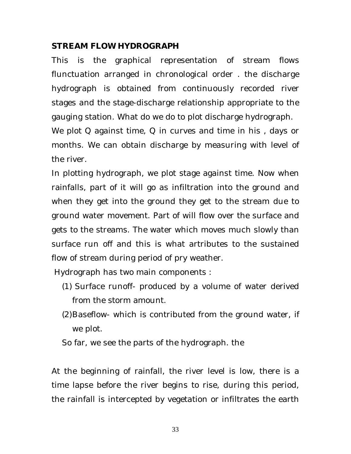# **STREAM FLOW HYDROGRAPH**

This is the graphical representation of stream flows flunctuation arranged in chronological order . the discharge hydrograph is obtained from continuously recorded river stages and the stage-discharge relationship appropriate to the gauging station. What do we do to plot discharge hydrograph.

We plot Q against time, Q in curves and time in his , days or months. We can obtain discharge by measuring with level of the river.

In plotting hydrograph, we plot stage against time. Now when rainfalls, part of it will go as infiltration into the ground and when they get into the ground they get to the stream due to ground water movement. Part of will flow over the surface and gets to the streams. The water which moves much slowly than surface run off and this is what artributes to the sustained flow of stream during period of pry weather.

Hydrograph has two main components :

- (1) Surface runoff- produced by a volume of water derived from the storm amount.
- (2)Baseflow- which is contributed from the ground water, if we plot.

So far, we see the parts of the hydrograph. the

At the beginning of rainfall, the river level is low, there is a time lapse before the river begins to rise, during this period, the rainfall is intercepted by vegetation or infiltrates the earth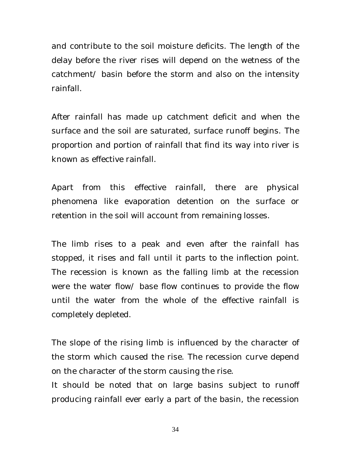and contribute to the soil moisture deficits. The length of the delay before the river rises will depend on the wetness of the catchment/ basin before the storm and also on the intensity rainfall.

After rainfall has made up catchment deficit and when the surface and the soil are saturated, surface runoff begins. The proportion and portion of rainfall that find its way into river is known as effective rainfall.

Apart from this effective rainfall, there are physical phenomena like evaporation detention on the surface or retention in the soil will account from remaining losses.

The limb rises to a peak and even after the rainfall has stopped, it rises and fall until it parts to the inflection point. The recession is known as the falling limb at the recession were the water flow/ base flow continues to provide the flow until the water from the whole of the effective rainfall is completely depleted.

The slope of the rising limb is influenced by the character of the storm which caused the rise. The recession curve depend on the character of the storm causing the rise.

It should be noted that on large basins subject to runoff producing rainfall ever early a part of the basin, the recession

34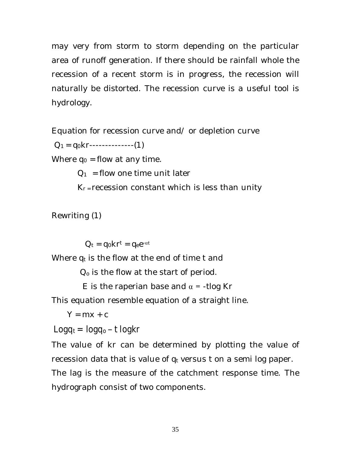may very from storm to storm depending on the particular area of runoff generation. If there should be rainfall whole the recession of a recent storm is in progress, the recession will naturally be distorted. The recession curve is a useful tool is hydrology.

Equation for recession curve and/ or depletion curve

 $Q_1 = q_0 k r$ --------------(1)

Where  $q_0$  = flow at any time.

 $Q_1$  = flow one time unit later

 $K_r$  = recession constant which is less than unity

Rewriting (1)

 $Q_t = q_0 k r^t = q_e e^{-\alpha t}$ 

Where  $q_t$  is the flow at the end of time t and

 $Q<sub>o</sub>$  is the flow at the start of period.

E is the raperian base and  $\alpha$  = -tlog Kr

This equation resemble equation of a straight line.

 $Y = mx + c$ 

 $Logq_t = logq_0 - t logkr$ 

The value of kr can be determined by plotting the value of recession data that is value of  $q_t$  versus t on a semi log paper. The lag is the measure of the catchment response time. The hydrograph consist of two components.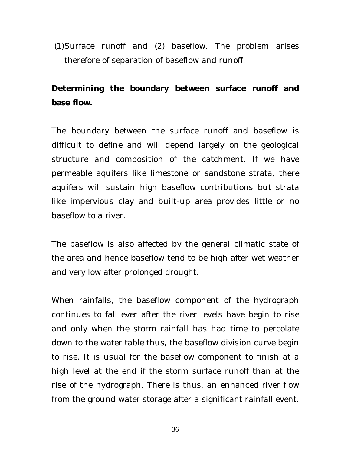(1)Surface runoff and (2) baseflow. The problem arises therefore of separation of baseflow and runoff.

# **Determining the boundary between surface runoff and base flow.**

The boundary between the surface runoff and baseflow is difficult to define and will depend largely on the geological structure and composition of the catchment. If we have permeable aquifers like limestone or sandstone strata, there aquifers will sustain high baseflow contributions but strata like impervious clay and built-up area provides little or no baseflow to a river.

The baseflow is also affected by the general climatic state of the area and hence baseflow tend to be high after wet weather and very low after prolonged drought.

When rainfalls, the baseflow component of the hydrograph continues to fall ever after the river levels have begin to rise and only when the storm rainfall has had time to percolate down to the water table thus, the baseflow division curve begin to rise. It is usual for the baseflow component to finish at a high level at the end if the storm surface runoff than at the rise of the hydrograph. There is thus, an enhanced river flow from the ground water storage after a significant rainfall event.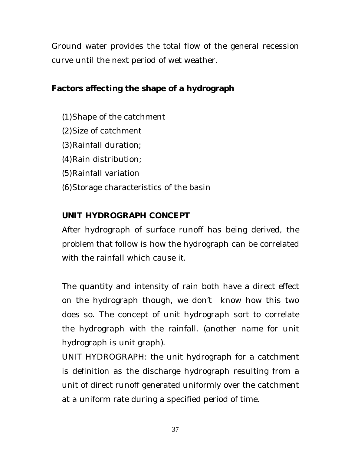Ground water provides the total flow of the general recession curve until the next period of wet weather.

# **Factors affecting the shape of a hydrograph**

- (1)Shape of the catchment
- (2)Size of catchment
- (3)Rainfall duration;
- (4)Rain distribution;
- (5)Rainfall variation
- (6)Storage characteristics of the basin

# **UNIT HYDROGRAPH CONCEPT**

After hydrograph of surface runoff has being derived, the problem that follow is how the hydrograph can be correlated with the rainfall which cause it.

The quantity and intensity of rain both have a direct effect on the hydrograph though, we don't know how this two does so. The concept of unit hydrograph sort to correlate the hydrograph with the rainfall. (another name for unit hydrograph is unit graph).

UNIT HYDROGRAPH: the unit hydrograph for a catchment is definition as the discharge hydrograph resulting from a unit of direct runoff generated uniformly over the catchment at a uniform rate during a specified period of time.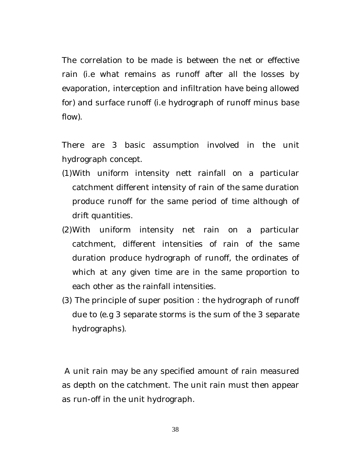The correlation to be made is between the net or effective rain (i.e what remains as runoff after all the losses by evaporation, interception and infiltration have being allowed for) and surface runoff (i.e hydrograph of runoff minus base flow).

There are 3 basic assumption involved in the unit hydrograph concept.

- (1)With uniform intensity nett rainfall on a particular catchment different intensity of rain of the same duration produce runoff for the same period of time although of drift quantities.
- (2)With uniform intensity net rain on a particular catchment, different intensities of rain of the same duration produce hydrograph of runoff, the ordinates of which at any given time are in the same proportion to each other as the rainfall intensities.
- (3) The principle of super position : the hydrograph of runoff due to (e.g 3 separate storms is the sum of the 3 separate hydrographs).

A unit rain may be any specified amount of rain measured as depth on the catchment. The unit rain must then appear as run-off in the unit hydrograph.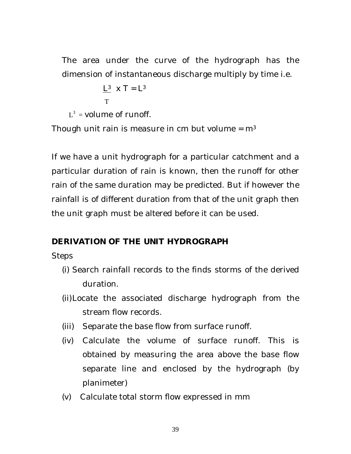The area under the curve of the hydrograph has the dimension of instantaneous discharge multiply by time i.e.

```
L^3 X T = L^3 T
```
 $L^3$  = volume of runoff.

Though unit rain is measure in cm but volume =  $m<sup>3</sup>$ 

If we have a unit hydrograph for a particular catchment and a particular duration of rain is known, then the runoff for other rain of the same duration may be predicted. But if however the rainfall is of different duration from that of the unit graph then the unit graph must be altered before it can be used.

# **DERIVATION OF THE UNIT HYDROGRAPH**

**Steps** 

- (i) Search rainfall records to the finds storms of the derived duration.
- (ii)Locate the associated discharge hydrograph from the stream flow records.
- (iii) Separate the base flow from surface runoff.
- (iv) Calculate the volume of surface runoff. This is obtained by measuring the area above the base flow separate line and enclosed by the hydrograph (by planimeter)
- (v) Calculate total storm flow expressed in mm